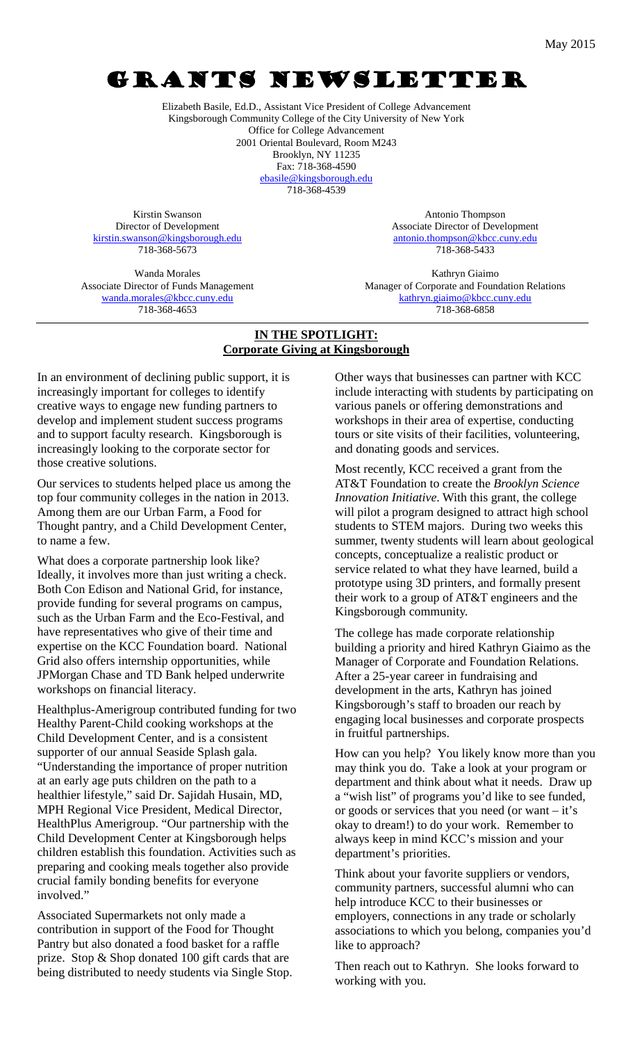# GRANTS NEWSLETTER

Elizabeth Basile, Ed.D., Assistant Vice President of College Advancement Kingsborough Community College of the City University of New York Office for College Advancement 2001 Oriental Boulevard, Room M243 Brooklyn, NY 11235 Fax: 718-368-4590 [ebasile@kingsborough.edu](mailto:ebasile@kingsborough.edu) 718-368-4539

Kirstin Swanson Director of Development [kirstin.swanson@kingsborough.edu](mailto:kirstin.swanson@kingsborough.edu) 718-368-5673

Wanda Morales Associate Director of Funds Management [wanda.morales@kbcc.cuny.edu](mailto:wanda.morales@kbcc.cuny.edu) 718-368-4653

Antonio Thompson Associate Director of Development [antonio.thompson@kbcc.cuny.edu](mailto:antonio.thompson@kbcc.cuny.edu) 718-368-5433

Kathryn Giaimo Manager of Corporate and Foundation Relations [kathryn.giaimo@kbcc.cuny.edu](mailto:kathryn.giaimo@kbcc.cuny.edu) 718-368-6858

#### **IN THE SPOTLIGHT: Corporate Giving at Kingsborough**

In an environment of declining public support, it is increasingly important for colleges to identify creative ways to engage new funding partners to develop and implement student success programs and to support faculty research. Kingsborough is increasingly looking to the corporate sector for those creative solutions.

Our services to students helped place us among the top four community colleges in the nation in 2013. Among them are our Urban Farm, a Food for Thought pantry, and a Child Development Center, to name a few.

What does a corporate partnership look like? Ideally, it involves more than just writing a check. Both Con Edison and National Grid, for instance, provide funding for several programs on campus, such as the Urban Farm and the Eco-Festival, and have representatives who give of their time and expertise on the KCC Foundation board. National Grid also offers internship opportunities, while JPMorgan Chase and TD Bank helped underwrite workshops on financial literacy.

Healthplus-Amerigroup contributed funding for two Healthy Parent-Child cooking workshops at the Child Development Center, and is a consistent supporter of our annual Seaside Splash gala. "Understanding the importance of proper nutrition at an early age puts children on the path to a healthier lifestyle," said Dr. Sajidah Husain, MD, MPH Regional Vice President, Medical Director, HealthPlus Amerigroup. "Our partnership with the Child Development Center at Kingsborough helps children establish this foundation. Activities such as preparing and cooking meals together also provide crucial family bonding benefits for everyone involved."

Associated Supermarkets not only made a contribution in support of the Food for Thought Pantry but also donated a food basket for a raffle prize. Stop & Shop donated 100 gift cards that are being distributed to needy students via Single Stop. Other ways that businesses can partner with KCC include interacting with students by participating on various panels or offering demonstrations and workshops in their area of expertise, conducting tours or site visits of their facilities, volunteering, and donating goods and services.

Most recently, KCC received a grant from the AT&T Foundation to create the *Brooklyn Science Innovation Initiative*. With this grant, the college will pilot a program designed to attract high school students to STEM majors. During two weeks this summer, twenty students will learn about geological concepts, conceptualize a realistic product or service related to what they have learned, build a prototype using 3D printers, and formally present their work to a group of AT&T engineers and the Kingsborough community.

The college has made corporate relationship building a priority and hired Kathryn Giaimo as the Manager of Corporate and Foundation Relations. After a 25-year career in fundraising and development in the arts, Kathryn has joined Kingsborough's staff to broaden our reach by engaging local businesses and corporate prospects in fruitful partnerships.

How can you help? You likely know more than you may think you do. Take a look at your program or department and think about what it needs. Draw up a "wish list" of programs you'd like to see funded, or goods or services that you need (or want – it's okay to dream!) to do your work. Remember to always keep in mind KCC's mission and your department's priorities.

Think about your favorite suppliers or vendors, community partners, successful alumni who can help introduce KCC to their businesses or employers, connections in any trade or scholarly associations to which you belong, companies you'd like to approach?

Then reach out to Kathryn. She looks forward to working with you.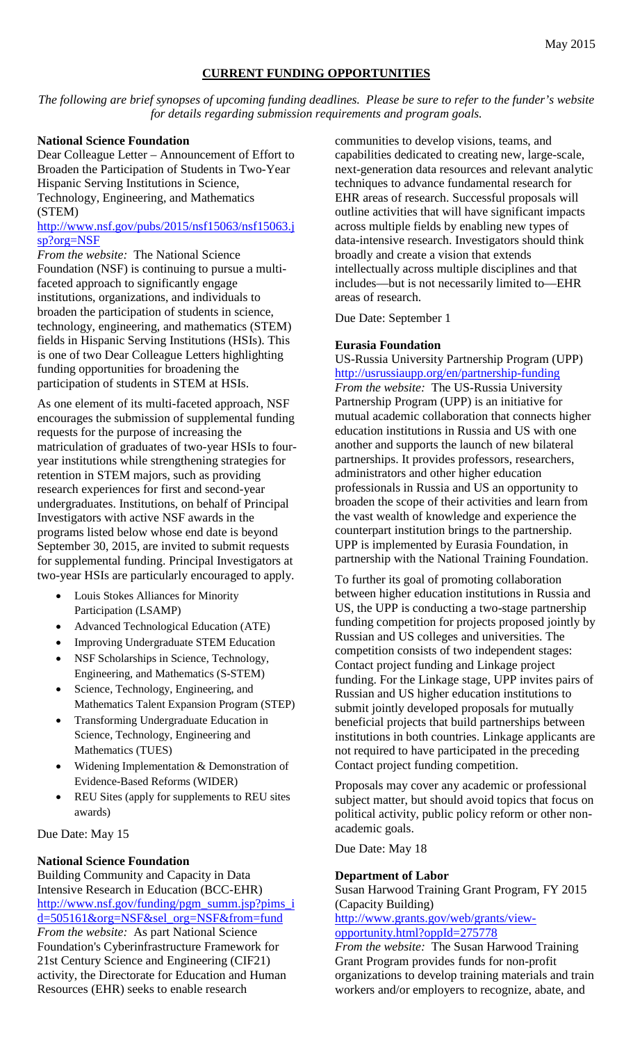#### **CURRENT FUNDING OPPORTUNITIES**

*The following are brief synopses of upcoming funding deadlines. Please be sure to refer to the funder's website for details regarding submission requirements and program goals.*

#### **National Science Foundation**

Dear Colleague Letter – Announcement of Effort to Broaden the Participation of Students in Two-Year Hispanic Serving Institutions in Science, Technology, Engineering, and Mathematics (STEM)

#### http://www.nsf.gov/pubs/2015/nsf15063/nsf15063.j sp?org=NSF

*From the website:* The National Science Foundation (NSF) is continuing to pursue a multifaceted approach to significantly engage institutions, organizations, and individuals to broaden the participation of students in science, technology, engineering, and mathematics (STEM) fields in Hispanic Serving Institutions (HSIs). This is one of two Dear Colleague Letters highlighting funding opportunities for broadening the participation of students in STEM at HSIs.

As one element of its multi-faceted approach, NSF encourages the submission of supplemental funding requests for the purpose of increasing the matriculation of graduates of two-year HSIs to fouryear institutions while strengthening strategies for retention in STEM majors, such as providing research experiences for first and second-year undergraduates. Institutions, on behalf of Principal Investigators with active NSF awards in the programs listed below whose end date is beyond September 30, 2015, are invited to submit requests for supplemental funding. Principal Investigators at two-year HSIs are particularly encouraged to apply.

- Louis Stokes Alliances for Minority Participation (LSAMP)
- Advanced Technological Education (ATE)
- Improving Undergraduate STEM Education
- NSF Scholarships in Science, Technology, Engineering, and Mathematics (S-STEM)
- Science, Technology, Engineering, and Mathematics Talent Expansion Program (STEP)
- Transforming Undergraduate Education in Science, Technology, Engineering and Mathematics (TUES)
- Widening Implementation & Demonstration of Evidence-Based Reforms (WIDER)
- REU Sites (apply for supplements to REU sites awards)

Due Date: May 15

#### **National Science Foundation**

Building Community and Capacity in Data Intensive Research in Education (BCC-EHR) http://www.nsf.gov/funding/pgm\_summ.jsp?pims\_i d=505161&org=NSF&sel\_org=NSF&from=fund *From the website:* As part National Science

Foundation's Cyberinfrastructure Framework for 21st Century Science and Engineering (CIF21) activity, the Directorate for Education and Human Resources (EHR) seeks to enable research

communities to develop visions, teams, and capabilities dedicated to creating new, large-scale, next-generation data resources and relevant analytic techniques to advance fundamental research for EHR areas of research. Successful proposals will outline activities that will have significant impacts across multiple fields by enabling new types of data-intensive research. Investigators should think broadly and create a vision that extends intellectually across multiple disciplines and that includes—but is not necessarily limited to—EHR areas of research.

Due Date: September 1

#### **Eurasia Foundation**

US-Russia University Partnership Program (UPP) http://usrussiaupp.org/en/partnership-funding *From the website:* The US-Russia University Partnership Program (UPP) is an initiative for mutual academic collaboration that connects higher education institutions in Russia and US with one another and supports the launch of new bilateral partnerships. It provides professors, researchers, administrators and other higher education professionals in Russia and US an opportunity to broaden the scope of their activities and learn from the vast wealth of knowledge and experience the counterpart institution brings to the partnership. UPP is implemented by Eurasia Foundation, in partnership with the National Training Foundation.

To further its goal of promoting collaboration between higher education institutions in Russia and US, the UPP is conducting a two-stage partnership funding competition for projects proposed jointly by Russian and US colleges and universities. The competition consists of two independent stages: Contact project funding and Linkage project funding. For the Linkage stage, UPP invites pairs of Russian and US higher education institutions to submit jointly developed proposals for mutually beneficial projects that build partnerships between institutions in both countries. Linkage applicants are not required to have participated in the preceding Contact project funding competition.

Proposals may cover any academic or professional subject matter, but should avoid topics that focus on political activity, public policy reform or other nonacademic goals.

Due Date: May 18

#### **Department of Labor**

Susan Harwood Training Grant Program, FY 2015 (Capacity Building)

http://www.grants.gov/web/grants/viewopportunity.html?oppId=275778

*From the website:* The Susan Harwood Training Grant Program provides funds for non-profit organizations to develop training materials and train workers and/or employers to recognize, abate, and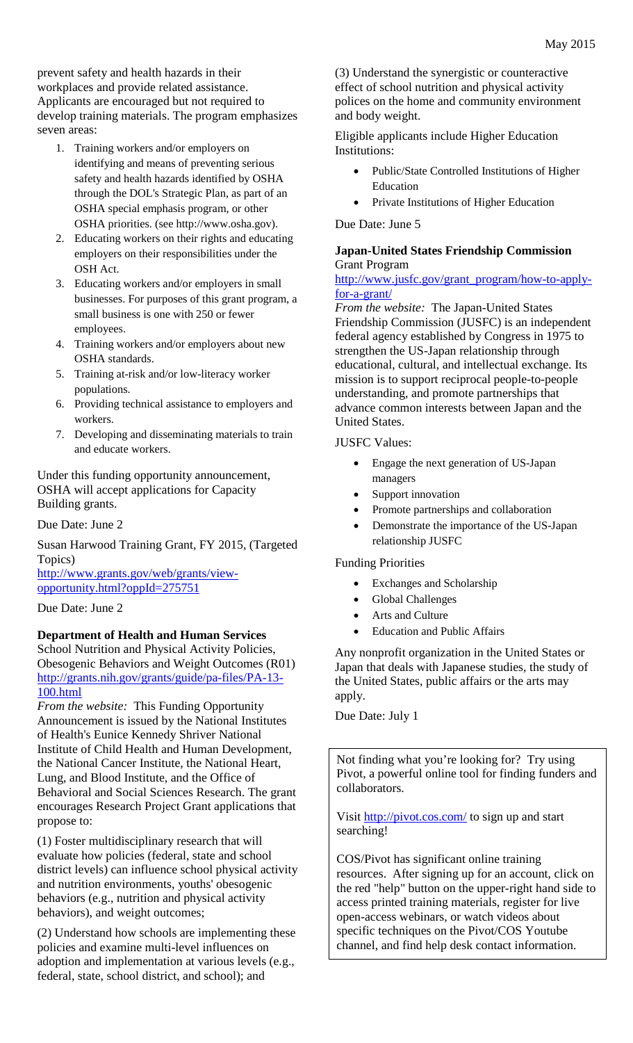prevent safety and health hazards in their workplaces and provide related assistance. Applicants are encouraged but not required to develop training materials. The program emphasizes seven areas:

- 1. Training workers and/or employers on identifying and means of preventing serious safety and health hazards identified by OSHA through the DOL's Strategic Plan, as part of an OSHA special emphasis program, or other OSHA priorities. (see http://www.osha.gov).
- 2. Educating workers on their rights and educating employers on their responsibilities under the OSH Act.
- 3. Educating workers and/or employers in small businesses. For purposes of this grant program, a small business is one with 250 or fewer employees.
- 4. Training workers and/or employers about new OSHA standards.
- 5. Training at-risk and/or low-literacy worker populations.
- 6. Providing technical assistance to employers and workers.
- 7. Developing and disseminating materials to train and educate workers.

Under this funding opportunity announcement, OSHA will accept applications for Capacity Building grants.

Due Date: June 2

Susan Harwood Training Grant, FY 2015, (Targeted Topics)

http://www.grants.gov/web/grants/viewopportunity.html?oppId=275751

Due Date: June 2

### **Department of Health and Human Services**

School Nutrition and Physical Activity Policies, Obesogenic Behaviors and Weight Outcomes (R01) http://grants.nih.gov/grants/guide/pa-files/PA-13- 100.html

*From the website:* This Funding Opportunity Announcement is issued by the National Institutes of Health's Eunice Kennedy Shriver National Institute of Child Health and Human Development, the National Cancer Institute, the National Heart, Lung, and Blood Institute, and the Office of Behavioral and Social Sciences Research. The grant encourages Research Project Grant applications that propose to:

(1) Foster multidisciplinary research that will evaluate how policies (federal, state and school district levels) can influence school physical activity and nutrition environments, youths' obesogenic behaviors (e.g., nutrition and physical activity behaviors), and weight outcomes;

(2) Understand how schools are implementing these policies and examine multi-level influences on adoption and implementation at various levels (e.g., federal, state, school district, and school); and

(3) Understand the synergistic or counteractive effect of school nutrition and physical activity polices on the home and community environment and body weight.

Eligible applicants include Higher Education Institutions:

- Public/State Controlled Institutions of Higher Education
- Private Institutions of Higher Education

Due Date: June 5

### **Japan-United States Friendship Commission** Grant Program

http://www.jusfc.gov/grant\_program/how-to-applyfor-a-grant/

*From the website:* The Japan-United States Friendship Commission (JUSFC) is an independent federal agency established by Congress in 1975 to strengthen the US-Japan relationship through educational, cultural, and intellectual exchange. Its mission is to support reciprocal people-to-people understanding, and promote partnerships that advance common interests between Japan and the United States.

JUSFC Values:

- Engage the next generation of US-Japan managers
- Support innovation
- Promote partnerships and collaboration
- Demonstrate the importance of the US-Japan relationship JUSFC

Funding Priorities

- Exchanges and Scholarship
- Global Challenges
- Arts and Culture
- Education and Public Affairs

Any nonprofit organization in the United States or Japan that deals with Japanese studies, the study of the United States, public affairs or the arts may apply.

Due Date: July 1

Not finding what you're looking for? Try using Pivot, a powerful online tool for finding funders and collaborators.

Visit<http://pivot.cos.com/> to sign up and start searching!

COS/Pivot has significant online training resources. After signing up for an account, click on the red "help" button on the upper-right hand side to access printed training materials, register for live open-access webinars, or watch videos about specific techniques on the Pivot/COS Youtube channel, and find help desk contact information.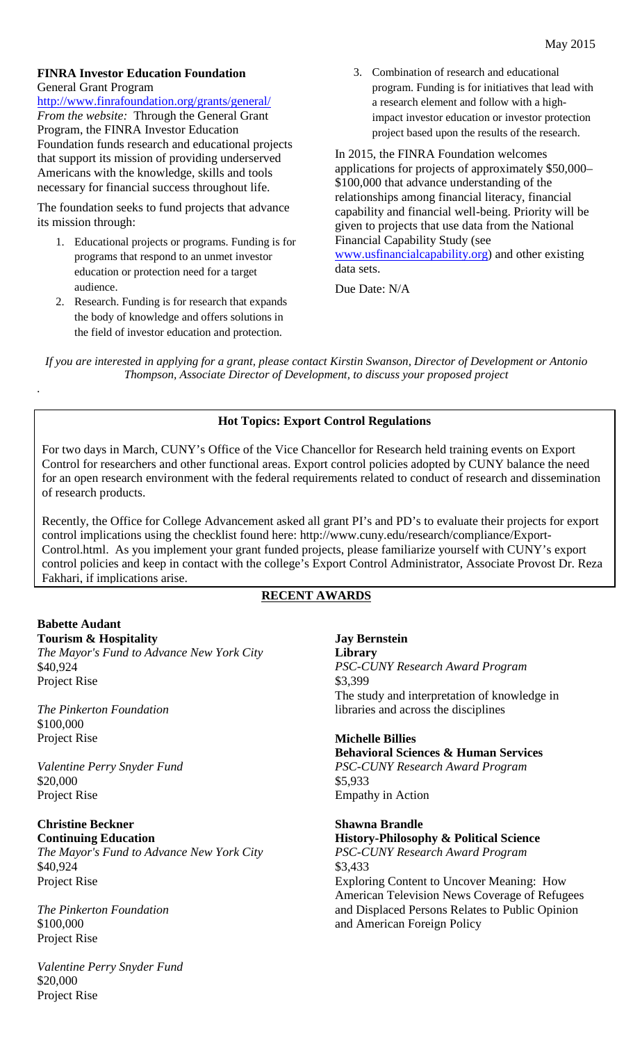#### **FINRA Investor Education Foundation** General Grant Program

http://www.finrafoundation.org/grants/general/ *From the website:* Through the General Grant Program, the FINRA Investor Education Foundation funds research and educational projects that support its mission of providing underserved Americans with the knowledge, skills and tools necessary for financial success throughout life.

The foundation seeks to fund projects that advance its mission through:

- 1. Educational projects or programs. Funding is for programs that respond to an unmet investor education or protection need for a target audience.
- 2. Research. Funding is for research that expands the body of knowledge and offers solutions in the field of investor education and protection.

3. Combination of research and educational program. Funding is for initiatives that lead with a research element and follow with a highimpact investor education or investor protection project based upon the results of the research.

In 2015, the FINRA Foundation welcomes applications for projects of approximately \$50,000– \$100,000 that advance understanding of the relationships among financial literacy, financial capability and financial well-being. Priority will be given to projects that use data from the National Financial Capability Study (see [www.usfinancialcapability.org\)](http://www.usfinancialcapability.org/) and other existing data sets.

Due Date: N/A

*If you are interested in applying for a grant, please contact Kirstin Swanson, Director of Development or Antonio Thompson, Associate Director of Development, to discuss your proposed project*

### **Hot Topics: Export Control Regulations**

For two days in March, CUNY's Office of the Vice Chancellor for Research held training events on Export Control for researchers and other functional areas. Export control policies adopted by CUNY balance the need for an open research environment with the federal requirements related to conduct of research and dissemination of research products.

Recently, the Office for College Advancement asked all grant PI's and PD's to evaluate their projects for export control implications using the checklist found here: http://www.cuny.edu/research/compliance/Export-Control.html. As you implement your grant funded projects, please familiarize yourself with CUNY's export control policies and keep in contact with the college's Export Control Administrator, Associate Provost Dr. Reza Fakhari, if implications arise.

## **RECENT AWARDS**

#### **Babette Audant Tourism & Hospitality**

*.*

*The Mayor's Fund to Advance New York City* \$40,924 Project Rise

*The Pinkerton Foundation* \$100,000 Project Rise

*Valentine Perry Snyder Fund* \$20,000 Project Rise

**Christine Beckner Continuing Education**

*The Mayor's Fund to Advance New York City* \$40,924 Project Rise

*The Pinkerton Foundation* \$100,000 Project Rise

*Valentine Perry Snyder Fund* \$20,000 Project Rise

**Jay Bernstein Library** *PSC-CUNY Research Award Program* \$3,399 The study and interpretation of knowledge in libraries and across the disciplines

**Michelle Billies Behavioral Sciences & Human Services** *PSC-CUNY Research Award Program* \$5,933 Empathy in Action

**Shawna Brandle History-Philosophy & Political Science** *PSC-CUNY Research Award Program* \$3,433 Exploring Content to Uncover Meaning: How American Television News Coverage of Refugees and Displaced Persons Relates to Public Opinion and American Foreign Policy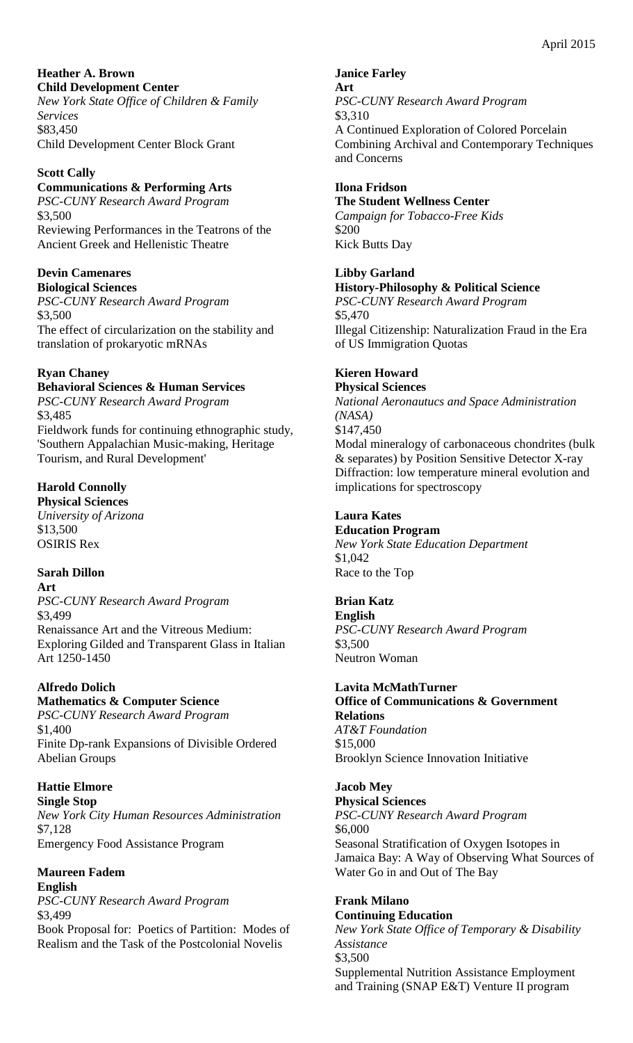#### **Heather A. Brown Child Development Center**

*New York State Office of Children & Family Services* \$83,450 Child Development Center Block Grant

### **Scott Cally**

# **Communications & Performing Arts**

*PSC-CUNY Research Award Program* \$3,500 Reviewing Performances in the Teatrons of the Ancient Greek and Hellenistic Theatre

# **Devin Camenares**

**Biological Sciences** *PSC-CUNY Research Award Program* \$3,500 The effect of circularization on the stability and translation of prokaryotic mRNAs

# **Ryan Chaney**

# **Behavioral Sciences & Human Services**

*PSC-CUNY Research Award Program* \$3,485 Fieldwork funds for continuing ethnographic study, 'Southern Appalachian Music-making, Heritage Tourism, and Rural Development'

# **Harold Connolly**

**Physical Sciences** *University of Arizona* \$13,500 OSIRIS Rex

# **Sarah Dillon**

**Art** *PSC-CUNY Research Award Program* \$3,499 Renaissance Art and the Vitreous Medium: Exploring Gilded and Transparent Glass in Italian Art 1250-1450

# **Alfredo Dolich**

# **Mathematics & Computer Science**

*PSC-CUNY Research Award Program* \$1,400 Finite Dp-rank Expansions of Divisible Ordered Abelian Groups

# **Hattie Elmore**

**Single Stop** *New York City Human Resources Administration* \$7,128 Emergency Food Assistance Program

# **Maureen Fadem**

**English** *PSC-CUNY Research Award Program* \$3,499

Book Proposal for: Poetics of Partition: Modes of Realism and the Task of the Postcolonial Novelis

**Janice Farley Art** *PSC-CUNY Research Award Program* \$3,310 A Continued Exploration of Colored Porcelain Combining Archival and Contemporary Techniques and Concerns

## **Ilona Fridson**

#### **The Student Wellness Center**

*Campaign for Tobacco-Free Kids* \$200 Kick Butts Day

#### **Libby Garland History-Philosophy & Political Science**

*PSC-CUNY Research Award Program* \$5,470 Illegal Citizenship: Naturalization Fraud in the Era of US Immigration Quotas

# **Kieren Howard**

**Physical Sciences** *National Aeronautucs and Space Administration (NASA)* \$147,450 Modal mineralogy of carbonaceous chondrites (bulk & separates) by Position Sensitive Detector X-ray Diffraction: low temperature mineral evolution and implications for spectroscopy

# **Laura Kates**

**Education Program** *New York State Education Department* \$1,042 Race to the Top

# **Brian Katz**

**English** *PSC-CUNY Research Award Program* \$3,500 Neutron Woman

### **Lavita McMathTurner**

**Office of Communications & Government Relations** *AT&T Foundation* \$15,000 Brooklyn Science Innovation Initiative

# **Jacob Mey**

**Physical Sciences** *PSC-CUNY Research Award Program* \$6,000 Seasonal Stratification of Oxygen Isotopes in Jamaica Bay: A Way of Observing What Sources of Water Go in and Out of The Bay

#### **Frank Milano Continuing Education**

*New York State Office of Temporary & Disability Assistance* \$3,500 Supplemental Nutrition Assistance Employment and Training (SNAP E&T) Venture II program